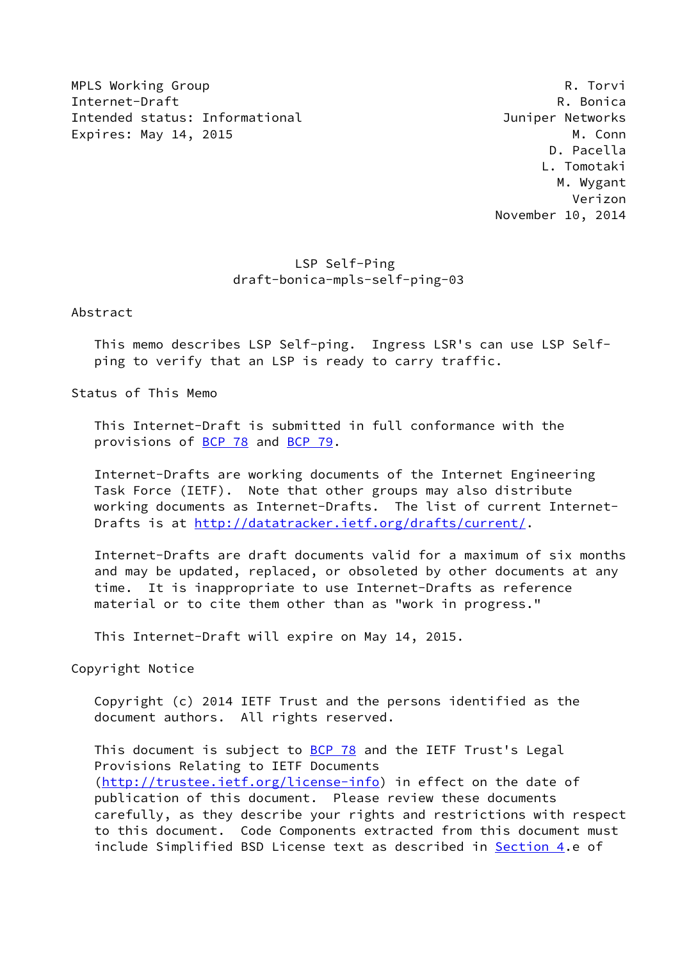MPLS Working Group **Research Control** Control of the Metal Control Control Control Control Control Control Control Control Control Control Control Control Control Control Control Control Control Control Control Control Con Internet-Draft Research Communication of the Research Communication of R. Bonica Intended status: Informational Juniper Networks Expires: May 14, 2015 M. Conn

 D. Pacella L. Tomotaki M. Wygant Verizon November 10, 2014

## LSP Self-Ping draft-bonica-mpls-self-ping-03

Abstract

 This memo describes LSP Self-ping. Ingress LSR's can use LSP Self ping to verify that an LSP is ready to carry traffic.

Status of This Memo

 This Internet-Draft is submitted in full conformance with the provisions of [BCP 78](https://datatracker.ietf.org/doc/pdf/bcp78) and [BCP 79](https://datatracker.ietf.org/doc/pdf/bcp79).

 Internet-Drafts are working documents of the Internet Engineering Task Force (IETF). Note that other groups may also distribute working documents as Internet-Drafts. The list of current Internet Drafts is at<http://datatracker.ietf.org/drafts/current/>.

 Internet-Drafts are draft documents valid for a maximum of six months and may be updated, replaced, or obsoleted by other documents at any time. It is inappropriate to use Internet-Drafts as reference material or to cite them other than as "work in progress."

This Internet-Draft will expire on May 14, 2015.

Copyright Notice

 Copyright (c) 2014 IETF Trust and the persons identified as the document authors. All rights reserved.

This document is subject to **[BCP 78](https://datatracker.ietf.org/doc/pdf/bcp78)** and the IETF Trust's Legal Provisions Relating to IETF Documents [\(http://trustee.ietf.org/license-info](http://trustee.ietf.org/license-info)) in effect on the date of publication of this document. Please review these documents carefully, as they describe your rights and restrictions with respect to this document. Code Components extracted from this document must include Simplified BSD License text as described in [Section 4.](#page-6-0)e of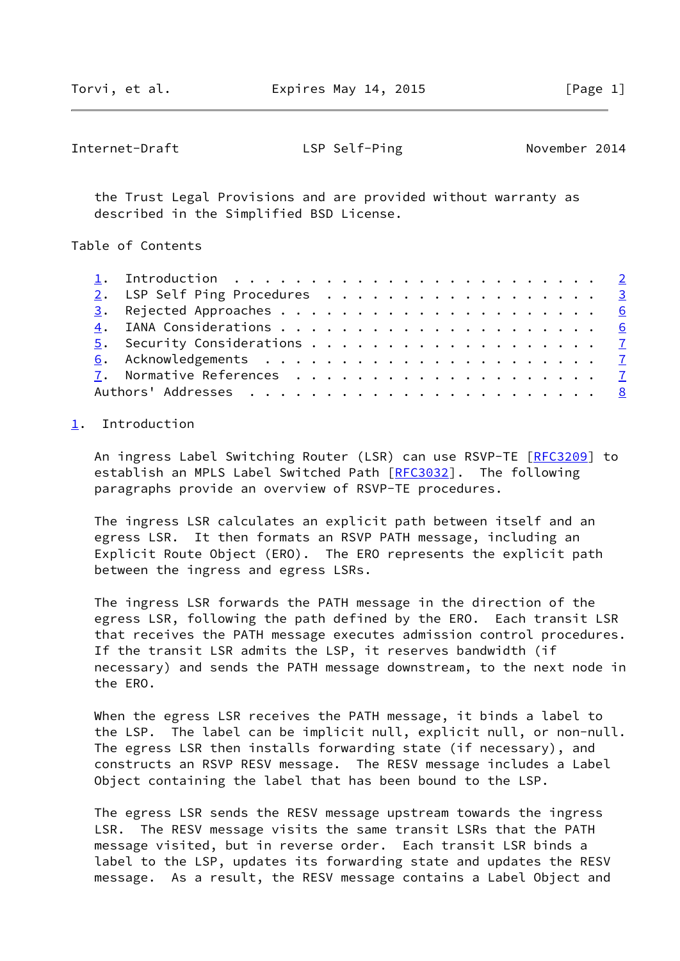<span id="page-1-1"></span>Internet-Draft LSP Self-Ping November 2014

 the Trust Legal Provisions and are provided without warranty as described in the Simplified BSD License.

Table of Contents

|  | 1. Introduction $\ldots \ldots \ldots \ldots \ldots \ldots \ldots \ldots \ldots$ |  |
|--|----------------------------------------------------------------------------------|--|
|  | 2. LSP Self Ping Procedures 3                                                    |  |
|  |                                                                                  |  |
|  |                                                                                  |  |
|  |                                                                                  |  |
|  |                                                                                  |  |
|  |                                                                                  |  |
|  |                                                                                  |  |

## <span id="page-1-0"></span>[1](#page-1-0). Introduction

An ingress Label Switching Router (LSR) can use RSVP-TE [\[RFC3209](https://datatracker.ietf.org/doc/pdf/rfc3209)] to establish an MPLS Label Switched Path [[RFC3032](https://datatracker.ietf.org/doc/pdf/rfc3032)]. The following paragraphs provide an overview of RSVP-TE procedures.

 The ingress LSR calculates an explicit path between itself and an egress LSR. It then formats an RSVP PATH message, including an Explicit Route Object (ERO). The ERO represents the explicit path between the ingress and egress LSRs.

 The ingress LSR forwards the PATH message in the direction of the egress LSR, following the path defined by the ERO. Each transit LSR that receives the PATH message executes admission control procedures. If the transit LSR admits the LSP, it reserves bandwidth (if necessary) and sends the PATH message downstream, to the next node in the ERO.

 When the egress LSR receives the PATH message, it binds a label to the LSP. The label can be implicit null, explicit null, or non-null. The egress LSR then installs forwarding state (if necessary), and constructs an RSVP RESV message. The RESV message includes a Label Object containing the label that has been bound to the LSP.

 The egress LSR sends the RESV message upstream towards the ingress LSR. The RESV message visits the same transit LSRs that the PATH message visited, but in reverse order. Each transit LSR binds a label to the LSP, updates its forwarding state and updates the RESV message. As a result, the RESV message contains a Label Object and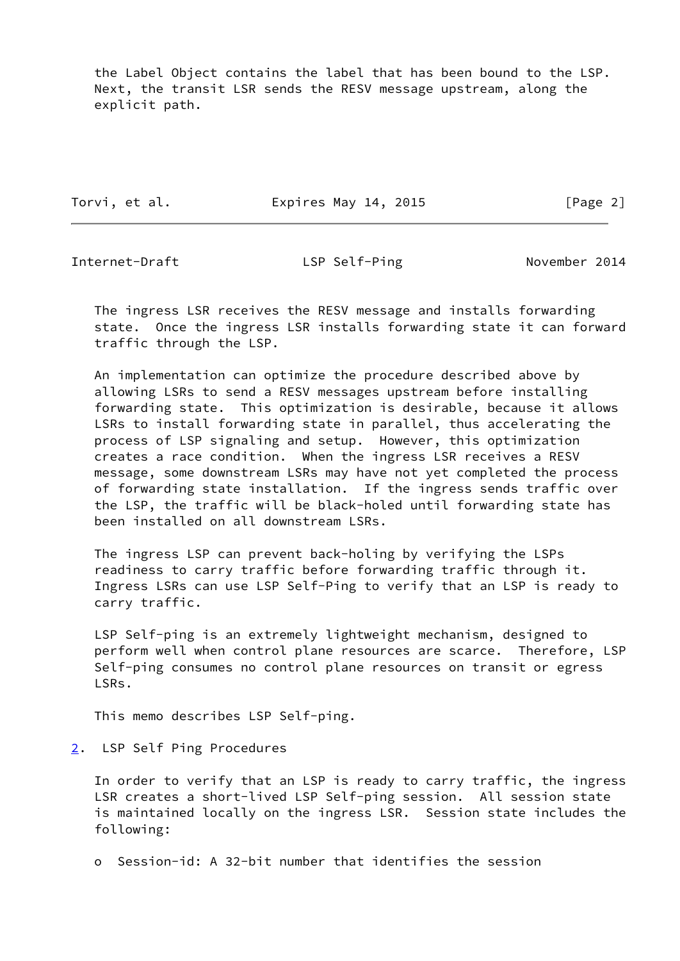the Label Object contains the label that has been bound to the LSP. Next, the transit LSR sends the RESV message upstream, along the explicit path.

Torvi, et al. **Expires May 14, 2015** [Page 2]

<span id="page-2-1"></span>Internet-Draft **LSP Self-Ping November 2014** 

 The ingress LSR receives the RESV message and installs forwarding state. Once the ingress LSR installs forwarding state it can forward traffic through the LSP.

 An implementation can optimize the procedure described above by allowing LSRs to send a RESV messages upstream before installing forwarding state. This optimization is desirable, because it allows LSRs to install forwarding state in parallel, thus accelerating the process of LSP signaling and setup. However, this optimization creates a race condition. When the ingress LSR receives a RESV message, some downstream LSRs may have not yet completed the process of forwarding state installation. If the ingress sends traffic over the LSP, the traffic will be black-holed until forwarding state has been installed on all downstream LSRs.

 The ingress LSP can prevent back-holing by verifying the LSPs readiness to carry traffic before forwarding traffic through it. Ingress LSRs can use LSP Self-Ping to verify that an LSP is ready to carry traffic.

 LSP Self-ping is an extremely lightweight mechanism, designed to perform well when control plane resources are scarce. Therefore, LSP Self-ping consumes no control plane resources on transit or egress LSRs.

This memo describes LSP Self-ping.

<span id="page-2-0"></span>[2](#page-2-0). LSP Self Ping Procedures

 In order to verify that an LSP is ready to carry traffic, the ingress LSR creates a short-lived LSP Self-ping session. All session state is maintained locally on the ingress LSR. Session state includes the following:

o Session-id: A 32-bit number that identifies the session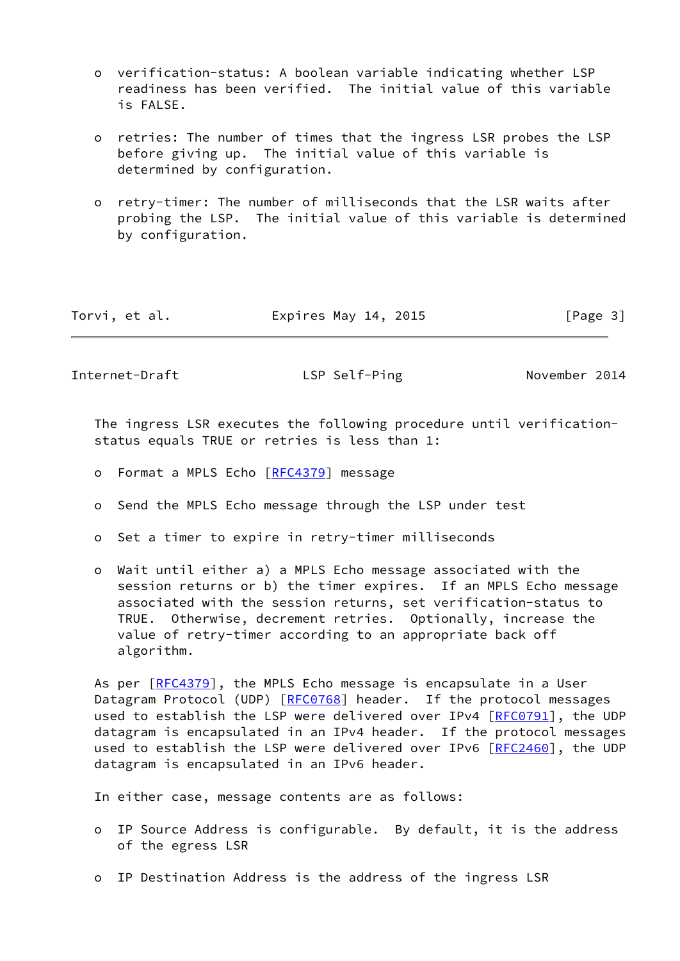- o verification-status: A boolean variable indicating whether LSP readiness has been verified. The initial value of this variable is FALSE.
- o retries: The number of times that the ingress LSR probes the LSP before giving up. The initial value of this variable is determined by configuration.
- o retry-timer: The number of milliseconds that the LSR waits after probing the LSP. The initial value of this variable is determined by configuration.

| Torvi, et al. | Expires May 14, 2015 | [Page 3] |
|---------------|----------------------|----------|
|---------------|----------------------|----------|

Internet-Draft LSP Self-Ping November 2014

 The ingress LSR executes the following procedure until verification status equals TRUE or retries is less than 1:

- o Format a MPLS Echo [[RFC4379](https://datatracker.ietf.org/doc/pdf/rfc4379)] message
- o Send the MPLS Echo message through the LSP under test
- o Set a timer to expire in retry-timer milliseconds
- o Wait until either a) a MPLS Echo message associated with the session returns or b) the timer expires. If an MPLS Echo message associated with the session returns, set verification-status to TRUE. Otherwise, decrement retries. Optionally, increase the value of retry-timer according to an appropriate back off algorithm.

As per [\[RFC4379](https://datatracker.ietf.org/doc/pdf/rfc4379)], the MPLS Echo message is encapsulate in a User Datagram Protocol (UDP) [\[RFC0768](https://datatracker.ietf.org/doc/pdf/rfc0768)] header. If the protocol messages used to establish the LSP were delivered over IPv4 [[RFC0791\]](https://datatracker.ietf.org/doc/pdf/rfc0791), the UDP datagram is encapsulated in an IPv4 header. If the protocol messages used to establish the LSP were delivered over IPv6 [[RFC2460\]](https://datatracker.ietf.org/doc/pdf/rfc2460), the UDP datagram is encapsulated in an IPv6 header.

In either case, message contents are as follows:

- o IP Source Address is configurable. By default, it is the address of the egress LSR
- o IP Destination Address is the address of the ingress LSR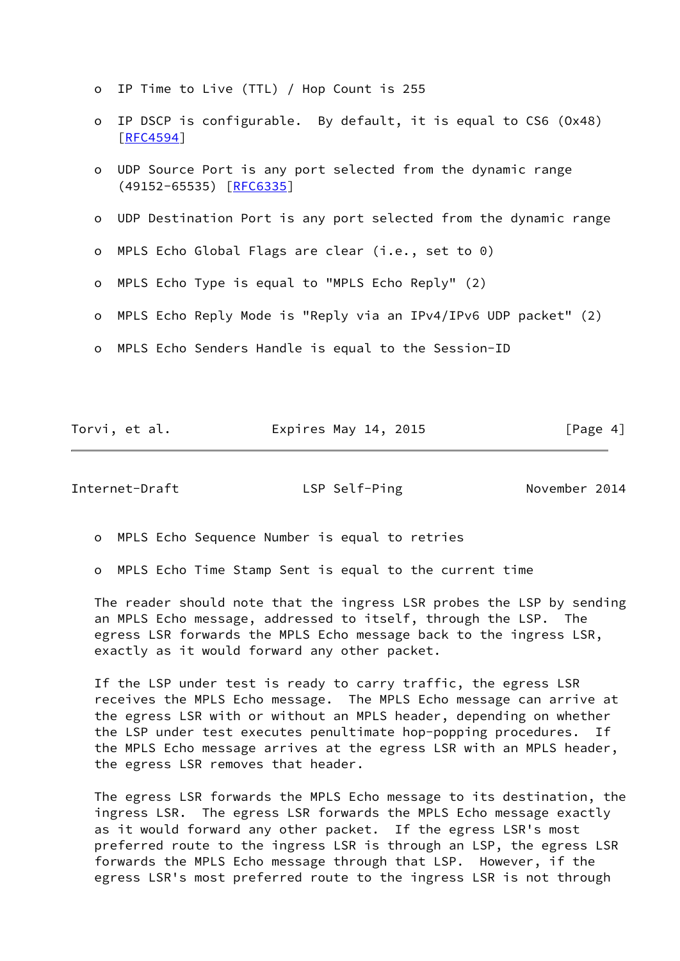- o IP Time to Live (TTL) / Hop Count is 255
- o IP DSCP is configurable. By default, it is equal to CS6 (Ox48) [[RFC4594\]](https://datatracker.ietf.org/doc/pdf/rfc4594)
- o UDP Source Port is any port selected from the dynamic range (49152-65535) [\[RFC6335](https://datatracker.ietf.org/doc/pdf/rfc6335)]
- o UDP Destination Port is any port selected from the dynamic range
- o MPLS Echo Global Flags are clear (i.e., set to 0)
- o MPLS Echo Type is equal to "MPLS Echo Reply" (2)
- o MPLS Echo Reply Mode is "Reply via an IPv4/IPv6 UDP packet" (2)
- o MPLS Echo Senders Handle is equal to the Session-ID

|  |  | Torvi, et al. | Expires May 14, 2015 | [Page 4] |
|--|--|---------------|----------------------|----------|
|--|--|---------------|----------------------|----------|

Internet-Draft **LSP Self-Ping November 2014** 

o MPLS Echo Sequence Number is equal to retries

o MPLS Echo Time Stamp Sent is equal to the current time

 The reader should note that the ingress LSR probes the LSP by sending an MPLS Echo message, addressed to itself, through the LSP. The egress LSR forwards the MPLS Echo message back to the ingress LSR, exactly as it would forward any other packet.

 If the LSP under test is ready to carry traffic, the egress LSR receives the MPLS Echo message. The MPLS Echo message can arrive at the egress LSR with or without an MPLS header, depending on whether the LSP under test executes penultimate hop-popping procedures. If the MPLS Echo message arrives at the egress LSR with an MPLS header, the egress LSR removes that header.

 The egress LSR forwards the MPLS Echo message to its destination, the ingress LSR. The egress LSR forwards the MPLS Echo message exactly as it would forward any other packet. If the egress LSR's most preferred route to the ingress LSR is through an LSP, the egress LSR forwards the MPLS Echo message through that LSP. However, if the egress LSR's most preferred route to the ingress LSR is not through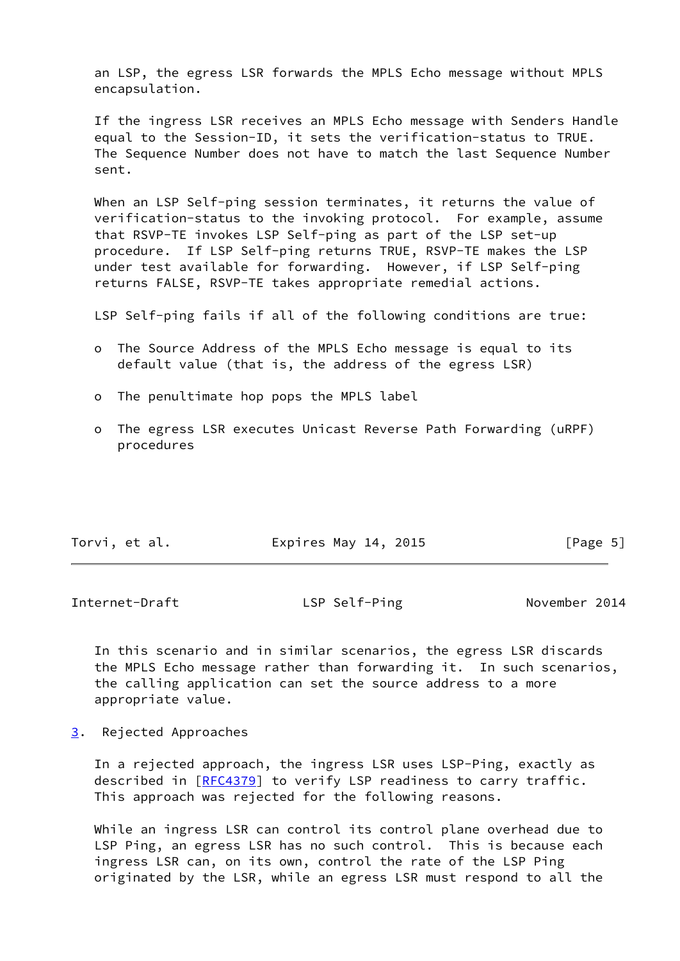an LSP, the egress LSR forwards the MPLS Echo message without MPLS encapsulation.

 If the ingress LSR receives an MPLS Echo message with Senders Handle equal to the Session-ID, it sets the verification-status to TRUE. The Sequence Number does not have to match the last Sequence Number sent.

 When an LSP Self-ping session terminates, it returns the value of verification-status to the invoking protocol. For example, assume that RSVP-TE invokes LSP Self-ping as part of the LSP set-up procedure. If LSP Self-ping returns TRUE, RSVP-TE makes the LSP under test available for forwarding. However, if LSP Self-ping returns FALSE, RSVP-TE takes appropriate remedial actions.

LSP Self-ping fails if all of the following conditions are true:

- o The Source Address of the MPLS Echo message is equal to its default value (that is, the address of the egress LSR)
- o The penultimate hop pops the MPLS label
- o The egress LSR executes Unicast Reverse Path Forwarding (uRPF) procedures

| Torvi, et al. | Expires May 14, 2015 | [Page 5] |
|---------------|----------------------|----------|
|               |                      |          |

<span id="page-5-1"></span>Internet-Draft The LSP Self-Ping November 2014

 In this scenario and in similar scenarios, the egress LSR discards the MPLS Echo message rather than forwarding it. In such scenarios, the calling application can set the source address to a more appropriate value.

<span id="page-5-0"></span>[3](#page-5-0). Rejected Approaches

 In a rejected approach, the ingress LSR uses LSP-Ping, exactly as described in [\[RFC4379](https://datatracker.ietf.org/doc/pdf/rfc4379)] to verify LSP readiness to carry traffic. This approach was rejected for the following reasons.

 While an ingress LSR can control its control plane overhead due to LSP Ping, an egress LSR has no such control. This is because each ingress LSR can, on its own, control the rate of the LSP Ping originated by the LSR, while an egress LSR must respond to all the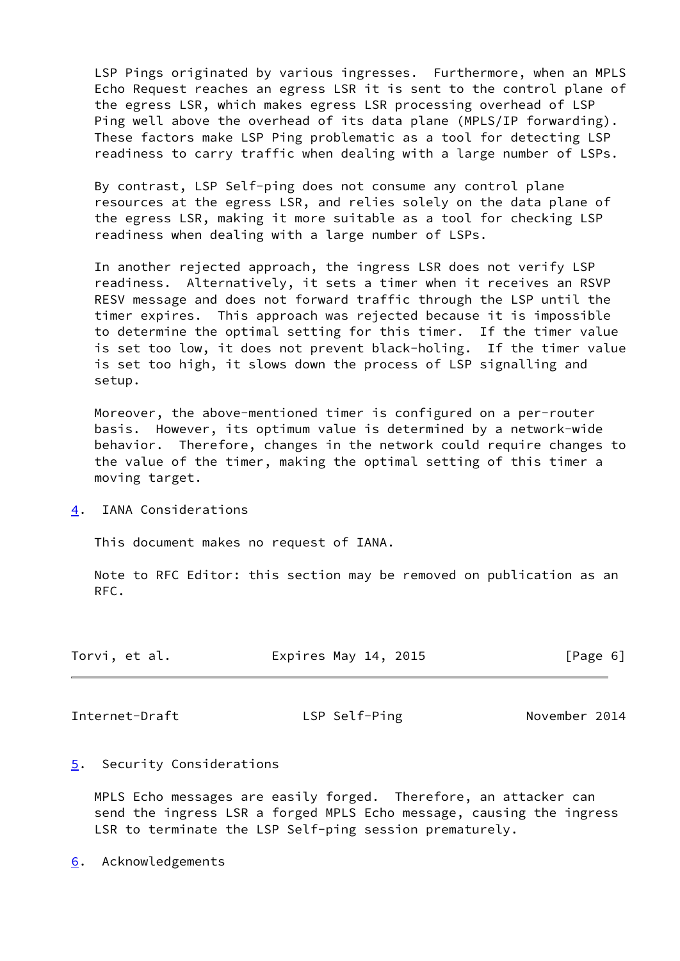LSP Pings originated by various ingresses. Furthermore, when an MPLS Echo Request reaches an egress LSR it is sent to the control plane of the egress LSR, which makes egress LSR processing overhead of LSP Ping well above the overhead of its data plane (MPLS/IP forwarding). These factors make LSP Ping problematic as a tool for detecting LSP readiness to carry traffic when dealing with a large number of LSPs.

 By contrast, LSP Self-ping does not consume any control plane resources at the egress LSR, and relies solely on the data plane of the egress LSR, making it more suitable as a tool for checking LSP readiness when dealing with a large number of LSPs.

 In another rejected approach, the ingress LSR does not verify LSP readiness. Alternatively, it sets a timer when it receives an RSVP RESV message and does not forward traffic through the LSP until the timer expires. This approach was rejected because it is impossible to determine the optimal setting for this timer. If the timer value is set too low, it does not prevent black-holing. If the timer value is set too high, it slows down the process of LSP signalling and setup.

 Moreover, the above-mentioned timer is configured on a per-router basis. However, its optimum value is determined by a network-wide behavior. Therefore, changes in the network could require changes to the value of the timer, making the optimal setting of this timer a moving target.

<span id="page-6-0"></span>[4](#page-6-0). IANA Considerations

This document makes no request of IANA.

 Note to RFC Editor: this section may be removed on publication as an RFC.

| Torvi, et al. | Expires May 14, 2015 | [Page 6] |
|---------------|----------------------|----------|
|---------------|----------------------|----------|

<span id="page-6-2"></span>Internet-Draft LSP Self-Ping November 2014

<span id="page-6-1"></span>[5](#page-6-1). Security Considerations

 MPLS Echo messages are easily forged. Therefore, an attacker can send the ingress LSR a forged MPLS Echo message, causing the ingress LSR to terminate the LSP Self-ping session prematurely.

<span id="page-6-3"></span>[6](#page-6-3). Acknowledgements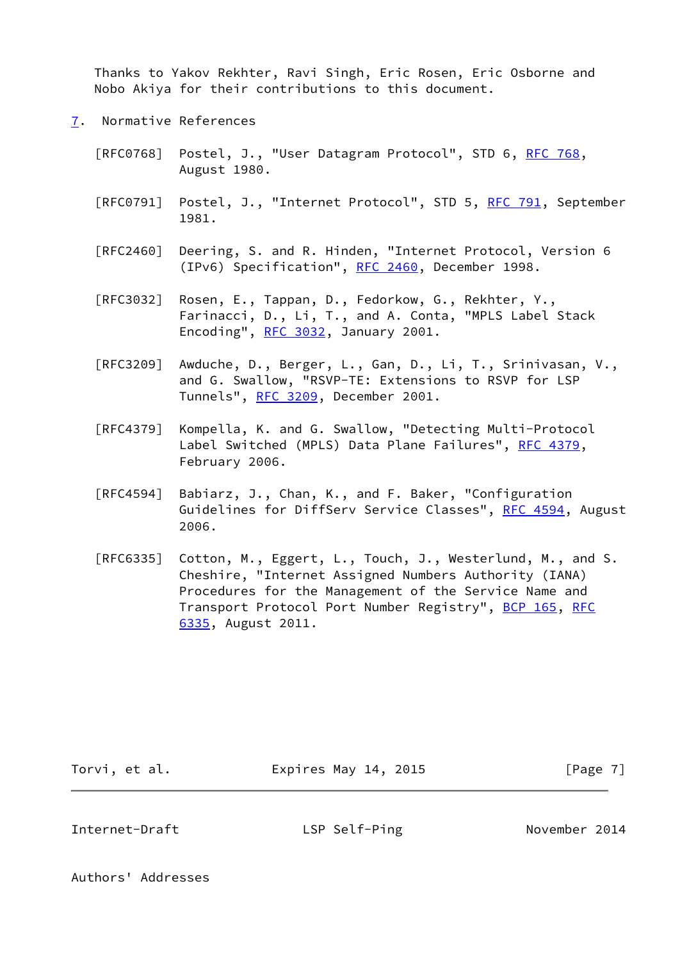Thanks to Yakov Rekhter, Ravi Singh, Eric Rosen, Eric Osborne and Nobo Akiya for their contributions to this document.

- <span id="page-7-0"></span>[7](#page-7-0). Normative References
	- [RFC0768] Postel, J., "User Datagram Protocol", STD 6, [RFC 768](https://datatracker.ietf.org/doc/pdf/rfc768), August 1980.
	- [RFC0791] Postel, J., "Internet Protocol", STD 5, [RFC 791](https://datatracker.ietf.org/doc/pdf/rfc791), September 1981.
	- [RFC2460] Deering, S. and R. Hinden, "Internet Protocol, Version 6 (IPv6) Specification", [RFC 2460](https://datatracker.ietf.org/doc/pdf/rfc2460), December 1998.
	- [RFC3032] Rosen, E., Tappan, D., Fedorkow, G., Rekhter, Y., Farinacci, D., Li, T., and A. Conta, "MPLS Label Stack Encoding", [RFC 3032](https://datatracker.ietf.org/doc/pdf/rfc3032), January 2001.
	- [RFC3209] Awduche, D., Berger, L., Gan, D., Li, T., Srinivasan, V., and G. Swallow, "RSVP-TE: Extensions to RSVP for LSP Tunnels", [RFC 3209](https://datatracker.ietf.org/doc/pdf/rfc3209), December 2001.
	- [RFC4379] Kompella, K. and G. Swallow, "Detecting Multi-Protocol Label Switched (MPLS) Data Plane Failures", [RFC 4379,](https://datatracker.ietf.org/doc/pdf/rfc4379) February 2006.
	- [RFC4594] Babiarz, J., Chan, K., and F. Baker, "Configuration Guidelines for DiffServ Service Classes", [RFC 4594](https://datatracker.ietf.org/doc/pdf/rfc4594), August 2006.
	- [RFC6335] Cotton, M., Eggert, L., Touch, J., Westerlund, M., and S. Cheshire, "Internet Assigned Numbers Authority (IANA) Procedures for the Management of the Service Name and Transport Protocol Port Number Registry", [BCP 165](https://datatracker.ietf.org/doc/pdf/bcp165), [RFC](https://datatracker.ietf.org/doc/pdf/rfc6335) [6335,](https://datatracker.ietf.org/doc/pdf/rfc6335) August 2011.

Torvi, et al. **Expires May 14, 2015** [Page 7]

<span id="page-7-1"></span>Internet-Draft **LSP Self-Ping November 2014** 

Authors' Addresses